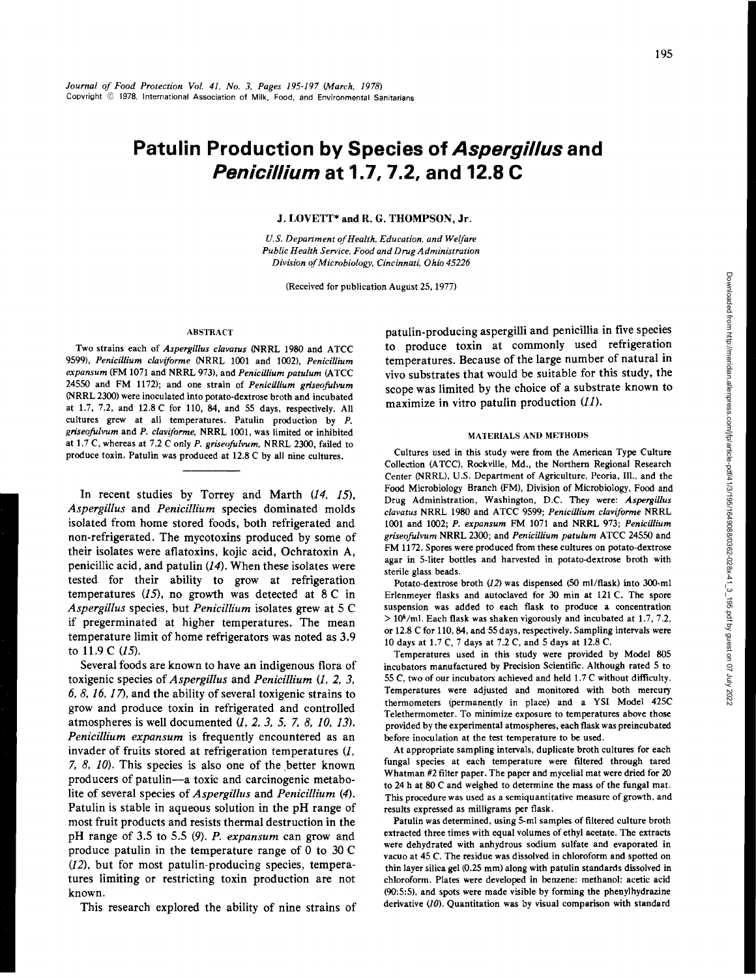# **Patulin Production by Species of Aspergillus and Penicillium at 1.7, 7.2, and 12.8 C**

J. LOVETT\* and R. G. THOMPSON, Jr.

*U.S. Department of Health, Education, and Welfare Public Health Service, Food and Drug Administration Division of Microbiology, Cincinnati,* Ohio *45226* 

(Received for publication August 25, 1977)

#### ABSTRACT

Two strains each of *Aspergillus clavatus* (NRRL 1980 and ATCC 9599), *Penicillium claviforme* (NRRL 1001 and 1002), *Penicillium expansum* (FM 1071 and NRRL 973), and *Penicillium patulum* (A TCC 24550 and FM 1172); and one strain of *Penicillium griseofulvum* (NRRL 2300) were inoculated into potato-dextrose broth and incubated at 1.7, 7.2, and 12.8 C for 110, 84, and 55 days, respectively. All cultures grew at all temperatures. Patulin production by P. *griseo.fulvum* and *P. claviforme,* NRRL 1001, was limited or inhibited at 1.7 C, whereas at 7.2 C only *P. griseofulvum*, NRRL 2300, failed to produce toxin. Patulin was produced at 12.8 C by all nine cultures.

In recent studies by Torrey and Marth *(14,* 15), *Aspergillus* and *Penicillium* species dominated molds isolated from home stored foods, both refrigerated and non-refrigerated. The mycotoxins produced by some of their isolates were aflatoxins, kojic acid, Ochratoxin A, penicillic acid, and patulin *(14).* When these isolates were tested for their ability to grow at refrigeration temperatures  $(15)$ , no growth was detected at 8 C in *Aspergillus* species, but *Penicillium* isolates grew at 5 C if pregerminated at higher temperatures. The mean temperature limit of home refrigerators was noted as 3.9 to 11.9 C (15).

Several foods are known to have an indigenous flora of toxigenic species of *Aspergillus* and *Penicillium (1, 2, 3, 6, 8, 16, 17),* and the ability of several toxigenic strains to grow and produce toxin in refrigerated and controlled atmospheres is well documented (1, *2, 3,* 5, *7, 8, 10,* 13). *Penicillium expansum* is frequently encountered as an invader of fruits stored at refrigeration temperatures (J, *7, 8, 10*). This species is also one of the better known producers of patulin-a toxic and carcinogenic metabolite of several species of *Aspergillus* and *Penicillium* (4). Patulin is stable in aqueous solution in the pH range of most fruit products and resists thermal destruction in the pH range of 3.5 to 5.5 (9). *P. expansum* can grow and produce patulin in the temperature range of 0 to 30 C (12), but for most patulin-producing species, temperatures limiting or restricting toxin production are not known.

This research explored the ability of nine strains of

patulin-producing aspergilli and penicillia in five species to produce toxin at commonly used refrigeration temperatures. Because of the large number of natural in vivo substrates that would be suitable for this study, the scope was limited by the choice of a substrate known to maximize in vitro patulin production  $(11)$ .

### MATERIALS AND METHODS

Cultures used in this study were from the American Type Culture Collection (A TCC), Rockville, Md., the Northern Regional Research Center (NRRL), U.S. Department of Agriculture, Peoria, Ill., and the Food Microbiology Branch (FM), Division of Microbiology, Food and Drug Administration, Washington, D.C. They were: *Aspergillus clavatus* NRRL 1980 and A TCC 9599; *Penicillium claviforme* NRRL 1001 and 1002; *P. expansum* FM 1071 and NRRL 973; *Penicillium griseo.fulvum* NRRL 2300; and *Penicillium patulum* ATCC 24550 and FM 1172. Spores were produced from these cultures on potato-dextrose agar in S-liter bottles and harvested in potato-dextrose broth with sterile glass beads.

Potato-dextrose broth (12) was dispensed (50 ml/flask) into 300-ml Erlenmeyer flasks and autoclaved for 30 min at 121 C. The spore suspension was added to each flask to produce a concentration  $> 10<sup>6</sup>/ml$ . Each flask was shaken vigorously and incubated at 1.7, 7.2, or 12.8 C for 110,84, and 55 days, respectively. Sampling intervals were 10 days at 1.7 C, 7 days at 7.2 C, and 5 days at 12.8 C.

Temperatures used in this study were provided by Model 805 incubators manufactured by Precision Scientific. Although rated 5 to 55 C, two of our incubators achieved and held 1.7 C without difficulty. Temperatures were adjusted and monitored with both mercury thermometers (permanently in place) and a YSI Model 42SC Telethermometer. To minimize exposure to temperatures above those provided by the experimental atmospheres, each flask was preincubated before inoculation at the test temperature to be used.

At appropriate sampling intervals, duplicate broth cultures for each fungal species at each temperature were filtered through tared Whatman #2 filter paper. The paper and mycelial mat were dried for 20 to 24 h at 80 C and weighed to determine the mass of the fungal mat. This procedure was used as a semiquantitative measure of growth, and results expressed as milligrams per flask.

Patulin was determined, using 5-ml samples of filtered culture broth extracted three times with equal volumes of ethyl acetate. The extracts were dehydrated with anhydrous sodium sulfate and evaporated in vacuo at 45 C. The residue was dissolved in chloroform and spotted on thin layer silica gel (0.25 mm) along with patulin standards dissolved in chloroform. Plates were developed in benzene: methanol: acetic acid (90:5:5), and spots were made visible by forming the phenylhydrazine derivative (10). Quantitation was by visual comparison with standard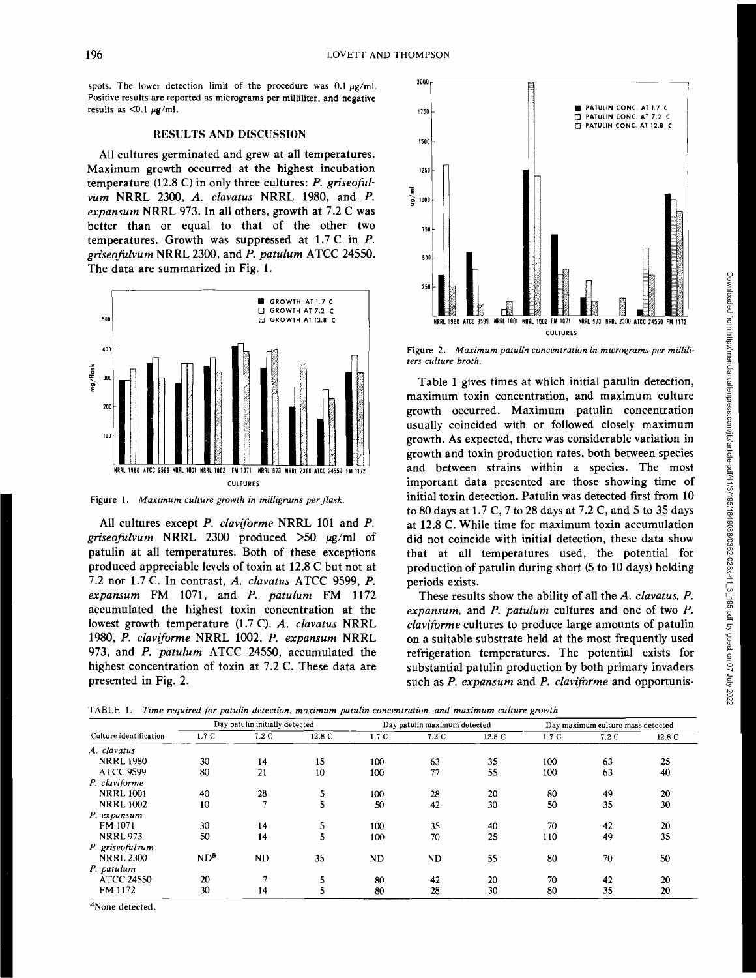spots. The lower detection limit of the procedure was  $0.1 \mu\text{g/mL}$ . Positive results are reported as micrograms per milliliter, and negative results as  $\leq 0.1 \mu g/ml$ .

### RESULTS AND DISCUSSION

All cultures germinated and grew at all temperatures. Maximum growth occurred at the highest incubation temperature (12.8 C) in only three cultures: *P. griseofulvum* NRRL 2300, *A. clavatus* NRRL 1980, and *P. expansum* NRRL 973. In all others, growth at 7.2 C was better than or equal to that of the other two temperatures. Growth was suppressed at 1.7 C in P. *griseofulvum* NRRL 2300, and *P. patulum* ATCC 24550. The data are summarized in Fig. 1.



Figure 1. *Maximum culture growth in milligrams per flask.* 

All cultures except *P. claviforme* NRRL 101 and *P. griseofulvum* NRRL 2300 produced  $>50 \mu g/ml$  of patulin at all temperatures. Both of these exceptions produced appreciable levels of toxin at 12.8 C but not at 7.2 nor 1.7 C. In contrast, *A. clavatus* ATCC 9599, *P. expansum* FM 1071, and *P. patulum* FM 1172 accumulated the highest toxin concentration at the lowest growth temperature (1.7 C). *A. clavatus* NRRL 1980, *P. claviforme* NRRL 1002, *P. expansum* NRRL 973, and *P. patulum* ATCC 24550, accumulated the highest concentration of toxin at 7.2 C. These data are presented in Fig. 2.



Figure 2. *Maximum patulin concentration in micrograms per milliliters culture broth.* 

Table 1 gives times at which initial patulin detection, maximum toxin concentration, and maximum culture growth occurred. Maximum patulin concentration usually coincided with or followed closely maximum growth. As expected, there was considerable variation in growth and toxin production rates, both between species and between strains within a species. The most important data presented are those showing time of initial toxin detection. Patulin was detected first from 10 to 80 days at 1.7 C, 7 to 28 days at 7.2 C, and 5 to 35 days at 12.8 C. While time for maximum toxin accumulation did not coincide with initial detection, these data show that at all temperatures used, the potential for production of patulin during short (5 to 10 days) holding periods exists.

These results show the ability of all the *A. clavatus, P. expansum,* and *P. patulum* cultures and one of two *P. claviforme* cultures to produce large amounts of patulin on a suitable substrate held at the most frequently used refrigeration temperatures. The potential exists for substantial patulin production by both primary invaders such as *P. expansum* and *P. claviforme* and opportunis-

|  | TABLE 1. Time required for patulin detection, maximum patulin concentration, and maximum culture growth |  |  |  |  |  |  |  |
|--|---------------------------------------------------------------------------------------------------------|--|--|--|--|--|--|--|
|--|---------------------------------------------------------------------------------------------------------|--|--|--|--|--|--|--|

|                        | Day patulin initially detected |               |        | Day patulin maximum detected |           |        | Day maximum culture mass detected |       |        |
|------------------------|--------------------------------|---------------|--------|------------------------------|-----------|--------|-----------------------------------|-------|--------|
| Culture identification | 1.7C                           | 7.2 C         | 12.8 C | 1.7C                         | 7.2 C     | 12.8 C | 1.7 C                             | 7.2 C | 12.8 C |
| A. clavatus            |                                |               |        |                              |           |        |                                   |       |        |
| <b>NRRL1980</b>        | 30                             | 14            | 15     | 100                          | 63        | 35     | 100                               | 63    | 25     |
| <b>ATCC 9599</b>       | 80                             | 21            | 10     | 100                          | 77        | 55     | 100                               | 63    | 40     |
| P. claviforme          |                                |               |        |                              |           |        |                                   |       |        |
| <b>NRRL1001</b>        | 40                             | 28            | 5      | 100                          | 28        | 20     | 80                                | 49    | 20     |
| <b>NRRL1002</b>        | 10                             | $\mathcal{I}$ | 5      | 50                           | 42        | 30     | 50                                | 35    | 30     |
| P. expansum            |                                |               |        |                              |           |        |                                   |       |        |
| FM 1071                | 30                             | 14            | 5      | 100                          | 35        | 40     | 70                                | 42    | 20     |
| <b>NRRL 973</b>        | 50                             | 14            | 5      | 100                          | 70        | 25     | 110                               | 49    | 35     |
| P. griseofulvum        |                                |               |        |                              |           |        |                                   |       |        |
| <b>NRRL 2300</b>       | ND <sup>a</sup>                | <b>ND</b>     | 35     | ND                           | <b>ND</b> | 55     | 80                                | 70    | 50     |
| P. patulum             |                                |               |        |                              |           |        |                                   |       |        |
| <b>ATCC 24550</b>      | 20                             |               | 5      | 80                           | 42        | 20     | 70                                | 42    | 20     |
| FM 1172                | 30                             | 14            |        | 80                           | 28        | 30     | 80                                | 35    | 20     |

a<sub>None</sub> detected.